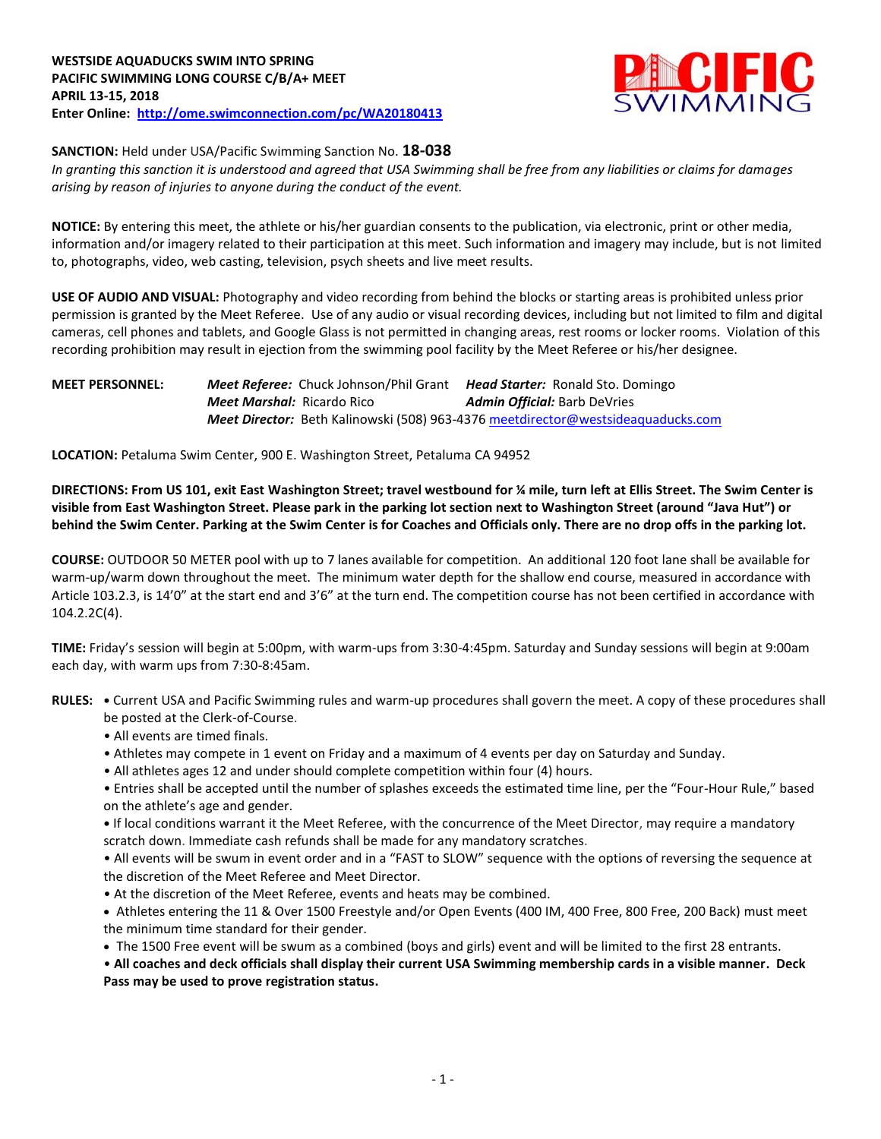

**SANCTION:** Held under USA/Pacific Swimming Sanction No. **18-038**

*In granting this sanction it is understood and agreed that USA Swimming shall be free from any liabilities or claims for damages arising by reason of injuries to anyone during the conduct of the event.*

**NOTICE:** By entering this meet, the athlete or his/her guardian consents to the publication, via electronic, print or other media, information and/or imagery related to their participation at this meet. Such information and imagery may include, but is not limited to, photographs, video, web casting, television, psych sheets and live meet results.

**USE OF AUDIO AND VISUAL:** Photography and video recording from behind the blocks or starting areas is prohibited unless prior permission is granted by the Meet Referee. Use of any audio or visual recording devices, including but not limited to film and digital cameras, cell phones and tablets, and Google Glass is not permitted in changing areas, rest rooms or locker rooms. Violation of this recording prohibition may result in ejection from the swimming pool facility by the Meet Referee or his/her designee.

### **MEET PERSONNEL:** *Meet Referee:* Chuck Johnson/Phil Grant *Head Starter:* Ronald Sto. Domingo *Meet Marshal:* Ricardo Rico *Admin Official:* Barb DeVries *Meet Director:* Beth Kalinowski (508) 963-4376 [meetdirector@westsideaquaducks.com](mailto:meetdirector@westsideaquaducks.com)

**LOCATION:** Petaluma Swim Center, 900 E. Washington Street, Petaluma CA 94952

**DIRECTIONS: From US 101, exit East Washington Street; travel westbound for ¼ mile, turn left at Ellis Street. The Swim Center is visible from East Washington Street. Please park in the parking lot section next to Washington Street (around "Java Hut") or behind the Swim Center. Parking at the Swim Center is for Coaches and Officials only. There are no drop offs in the parking lot.**

**COURSE:** OUTDOOR 50 METER pool with up to 7 lanes available for competition. An additional 120 foot lane shall be available for warm-up/warm down throughout the meet. The minimum water depth for the shallow end course, measured in accordance with Article 103.2.3, is 14'0" at the start end and 3'6" at the turn end. The competition course has not been certified in accordance with 104.2.2C(4).

**TIME:** Friday's session will begin at 5:00pm, with warm-ups from 3:30-4:45pm. Saturday and Sunday sessions will begin at 9:00am each day, with warm ups from 7:30-8:45am.

**RULES: •** Current USA and Pacific Swimming rules and warm-up procedures shall govern the meet. A copy of these procedures shall be posted at the Clerk-of-Course.

- All events are timed finals.
- Athletes may compete in 1 event on Friday and a maximum of 4 events per day on Saturday and Sunday.
- All athletes ages 12 and under should complete competition within four (4) hours.
- Entries shall be accepted until the number of splashes exceeds the estimated time line, per the "Four-Hour Rule," based on the athlete's age and gender.

**•** If local conditions warrant it the Meet Referee, with the concurrence of the Meet Director, may require a mandatory scratch down. Immediate cash refunds shall be made for any mandatory scratches.

• All events will be swum in event order and in a "FAST to SLOW" sequence with the options of reversing the sequence at the discretion of the Meet Referee and Meet Director.

• At the discretion of the Meet Referee, events and heats may be combined.

 Athletes entering the 11 & Over 1500 Freestyle and/or Open Events (400 IM, 400 Free, 800 Free, 200 Back) must meet the minimum time standard for their gender.

The 1500 Free event will be swum as a combined (boys and girls) event and will be limited to the first 28 entrants.

• **All coaches and deck officials shall display their current USA Swimming membership cards in a visible manner. Deck Pass may be used to prove registration status.**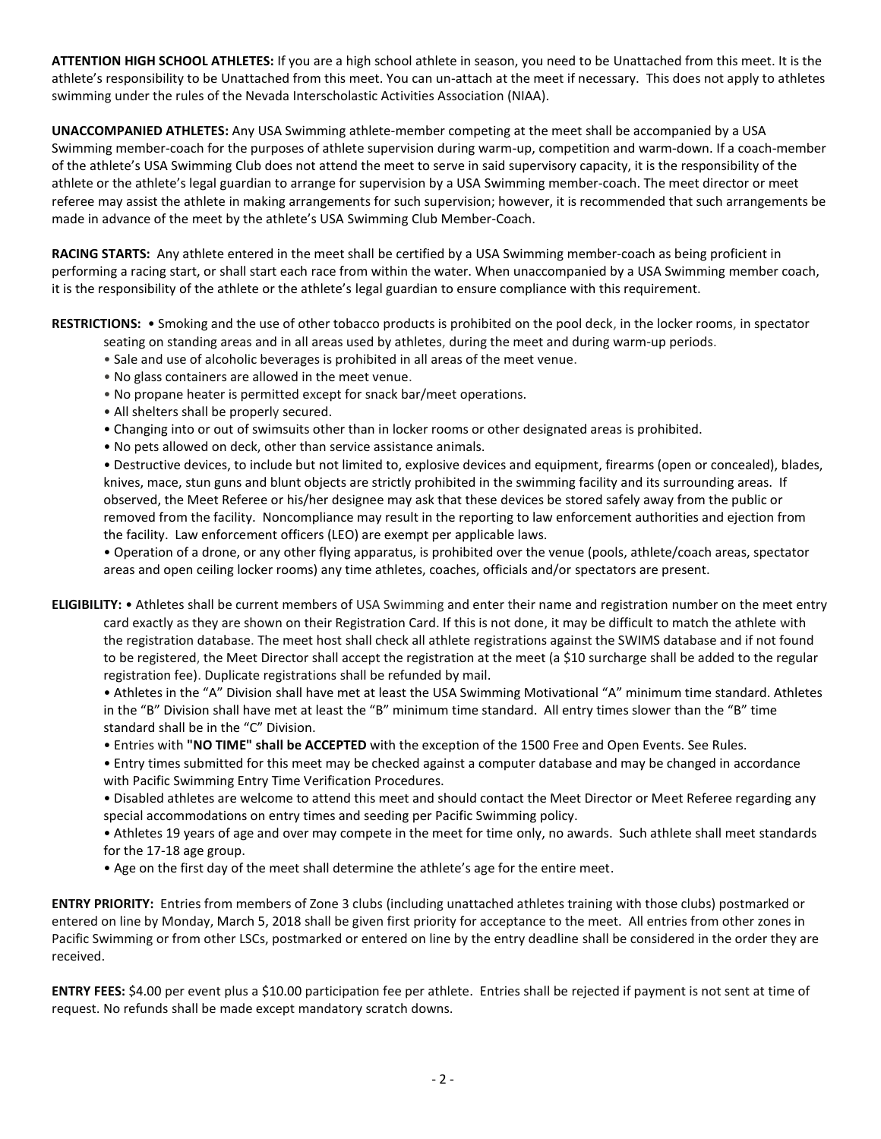**ATTENTION HIGH SCHOOL ATHLETES:** If you are a high school athlete in season, you need to be Unattached from this meet. It is the athlete's responsibility to be Unattached from this meet. You can un-attach at the meet if necessary. This does not apply to athletes swimming under the rules of the Nevada Interscholastic Activities Association (NIAA).

**UNACCOMPANIED ATHLETES:** Any USA Swimming athlete-member competing at the meet shall be accompanied by a USA Swimming member-coach for the purposes of athlete supervision during warm-up, competition and warm-down. If a coach-member of the athlete's USA Swimming Club does not attend the meet to serve in said supervisory capacity, it is the responsibility of the athlete or the athlete's legal guardian to arrange for supervision by a USA Swimming member-coach. The meet director or meet referee may assist the athlete in making arrangements for such supervision; however, it is recommended that such arrangements be made in advance of the meet by the athlete's USA Swimming Club Member-Coach.

**RACING STARTS:** Any athlete entered in the meet shall be certified by a USA Swimming member-coach as being proficient in performing a racing start, or shall start each race from within the water. When unaccompanied by a USA Swimming member coach, it is the responsibility of the athlete or the athlete's legal guardian to ensure compliance with this requirement.

**RESTRICTIONS:** • Smoking and the use of other tobacco products is prohibited on the pool deck, in the locker rooms, in spectator seating on standing areas and in all areas used by athletes, during the meet and during warm-up periods.

- Sale and use of alcoholic beverages is prohibited in all areas of the meet venue.
- No glass containers are allowed in the meet venue.
- No propane heater is permitted except for snack bar/meet operations.
- All shelters shall be properly secured.
- Changing into or out of swimsuits other than in locker rooms or other designated areas is prohibited.
- No pets allowed on deck, other than service assistance animals.

• Destructive devices, to include but not limited to, explosive devices and equipment, firearms (open or concealed), blades, knives, mace, stun guns and blunt objects are strictly prohibited in the swimming facility and its surrounding areas. If observed, the Meet Referee or his/her designee may ask that these devices be stored safely away from the public or removed from the facility. Noncompliance may result in the reporting to law enforcement authorities and ejection from the facility. Law enforcement officers (LEO) are exempt per applicable laws.

• Operation of a drone, or any other flying apparatus, is prohibited over the venue (pools, athlete/coach areas, spectator areas and open ceiling locker rooms) any time athletes, coaches, officials and/or spectators are present.

**ELIGIBILITY:** • Athletes shall be current members of USA Swimming and enter their name and registration number on the meet entry card exactly as they are shown on their Registration Card. If this is not done, it may be difficult to match the athlete with the registration database. The meet host shall check all athlete registrations against the SWIMS database and if not found to be registered, the Meet Director shall accept the registration at the meet (a \$10 surcharge shall be added to the regular registration fee). Duplicate registrations shall be refunded by mail.

• Athletes in the "A" Division shall have met at least the USA Swimming Motivational "A" minimum time standard. Athletes in the "B" Division shall have met at least the "B" minimum time standard. All entry times slower than the "B" time standard shall be in the "C" Division.

- Entries with **"NO TIME" shall be ACCEPTED** with the exception of the 1500 Free and Open Events. See Rules.
- Entry times submitted for this meet may be checked against a computer database and may be changed in accordance with Pacific Swimming Entry Time Verification Procedures.
- Disabled athletes are welcome to attend this meet and should contact the Meet Director or Meet Referee regarding any special accommodations on entry times and seeding per Pacific Swimming policy.
- Athletes 19 years of age and over may compete in the meet for time only, no awards. Such athlete shall meet standards for the 17-18 age group.
- Age on the first day of the meet shall determine the athlete's age for the entire meet.

**ENTRY PRIORITY:** Entries from members of Zone 3 clubs (including unattached athletes training with those clubs) postmarked or entered on line by Monday, March 5, 2018 shall be given first priority for acceptance to the meet. All entries from other zones in Pacific Swimming or from other LSCs, postmarked or entered on line by the entry deadline shall be considered in the order they are received.

**ENTRY FEES:** \$4.00 per event plus a \$10.00 participation fee per athlete. Entries shall be rejected if payment is not sent at time of request. No refunds shall be made except mandatory scratch downs.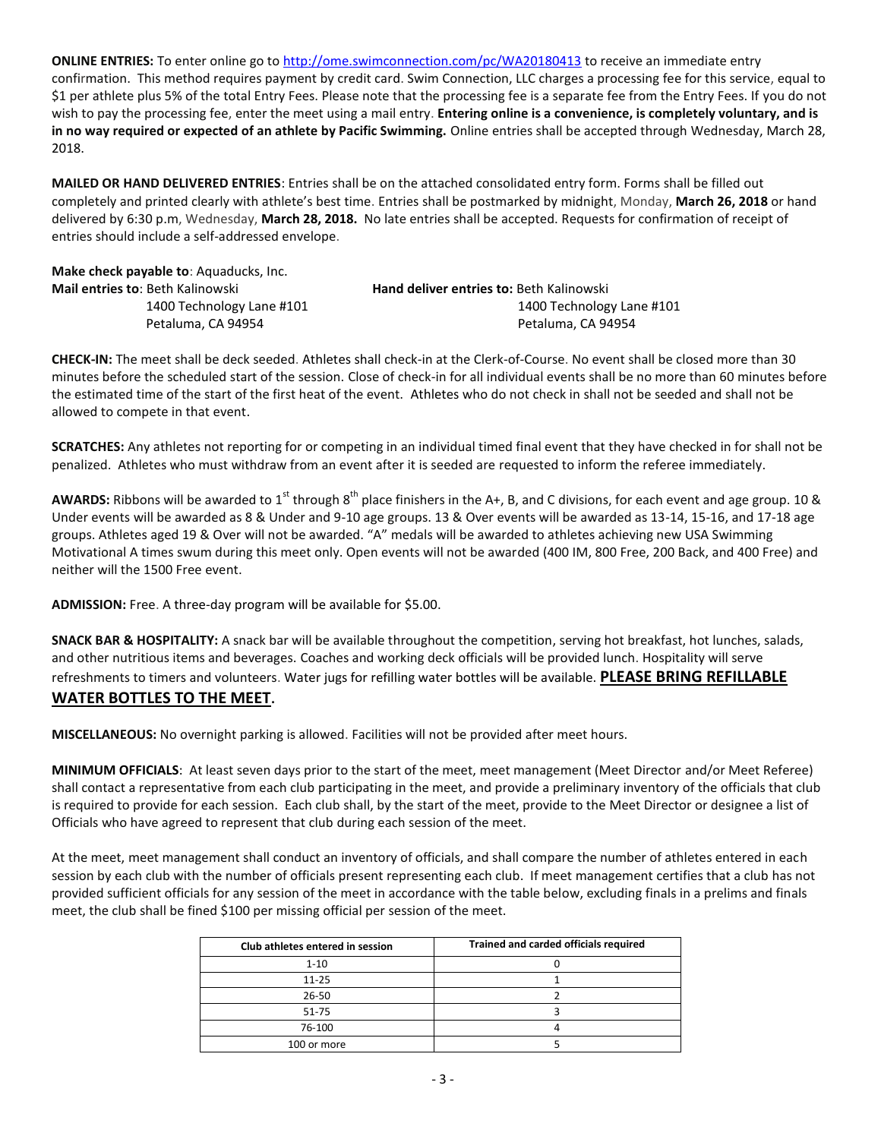**ONLINE ENTRIES:** To enter online go t[o http://ome.swimconnection.com/pc/WA20180413](http://ome.swimconnection.com/pc/WA20180413) to receive an immediate entry confirmation. This method requires payment by credit card. Swim Connection, LLC charges a processing fee for this service, equal to \$1 per athlete plus 5% of the total Entry Fees. Please note that the processing fee is a separate fee from the Entry Fees. If you do not wish to pay the processing fee, enter the meet using a mail entry. **Entering online is a convenience, is completely voluntary, and is in no way required or expected of an athlete by Pacific Swimming.** Online entries shall be accepted through Wednesday, March 28, 2018.

**MAILED OR HAND DELIVERED ENTRIES**: Entries shall be on the attached consolidated entry form. Forms shall be filled out completely and printed clearly with athlete's best time. Entries shall be postmarked by midnight, Monday, **March 26, 2018** or hand delivered by 6:30 p.m, Wednesday, **March 28, 2018.** No late entries shall be accepted. Requests for confirmation of receipt of entries should include a self-addressed envelope.

| <b>Make check payable to: Aquaducks, Inc.</b> |                                                 |
|-----------------------------------------------|-------------------------------------------------|
| <b>Mail entries to: Beth Kalinowski</b>       | <b>Hand deliver entries to: Beth Kalinowski</b> |
| 1400 Technology Lane #101                     | 1400 Technology Lane #101                       |
| Petaluma, CA 94954                            | Petaluma, CA 94954                              |
|                                               |                                                 |

**CHECK-IN:** The meet shall be deck seeded. Athletes shall check-in at the Clerk-of-Course. No event shall be closed more than 30 minutes before the scheduled start of the session. Close of check-in for all individual events shall be no more than 60 minutes before the estimated time of the start of the first heat of the event. Athletes who do not check in shall not be seeded and shall not be allowed to compete in that event.

**SCRATCHES:** Any athletes not reporting for or competing in an individual timed final event that they have checked in for shall not be penalized. Athletes who must withdraw from an event after it is seeded are requested to inform the referee immediately.

AWARDS: Ribbons will be awarded to 1<sup>st</sup> through 8<sup>th</sup> place finishers in the A+, B, and C divisions, for each event and age group. 10 & Under events will be awarded as 8 & Under and 9-10 age groups. 13 & Over events will be awarded as 13-14, 15-16, and 17-18 age groups. Athletes aged 19 & Over will not be awarded. "A" medals will be awarded to athletes achieving new USA Swimming Motivational A times swum during this meet only. Open events will not be awarded (400 IM, 800 Free, 200 Back, and 400 Free) and neither will the 1500 Free event.

**ADMISSION:** Free. A three-day program will be available for \$5.00.

**SNACK BAR & HOSPITALITY:** A snack bar will be available throughout the competition, serving hot breakfast, hot lunches, salads, and other nutritious items and beverages. Coaches and working deck officials will be provided lunch. Hospitality will serve refreshments to timers and volunteers. Water jugs for refilling water bottles will be available. **PLEASE BRING REFILLABLE WATER BOTTLES TO THE MEET.**

**MISCELLANEOUS:** No overnight parking is allowed. Facilities will not be provided after meet hours.

**MINIMUM OFFICIALS**: At least seven days prior to the start of the meet, meet management (Meet Director and/or Meet Referee) shall contact a representative from each club participating in the meet, and provide a preliminary inventory of the officials that club is required to provide for each session. Each club shall, by the start of the meet, provide to the Meet Director or designee a list of Officials who have agreed to represent that club during each session of the meet.

At the meet, meet management shall conduct an inventory of officials, and shall compare the number of athletes entered in each session by each club with the number of officials present representing each club. If meet management certifies that a club has not provided sufficient officials for any session of the meet in accordance with the table below, excluding finals in a prelims and finals meet, the club shall be fined \$100 per missing official per session of the meet.

| Club athletes entered in session | Trained and carded officials required |
|----------------------------------|---------------------------------------|
| $1 - 10$                         |                                       |
| $11 - 25$                        |                                       |
| $26 - 50$                        |                                       |
| $51 - 75$                        |                                       |
| 76-100                           |                                       |
| 100 or more                      |                                       |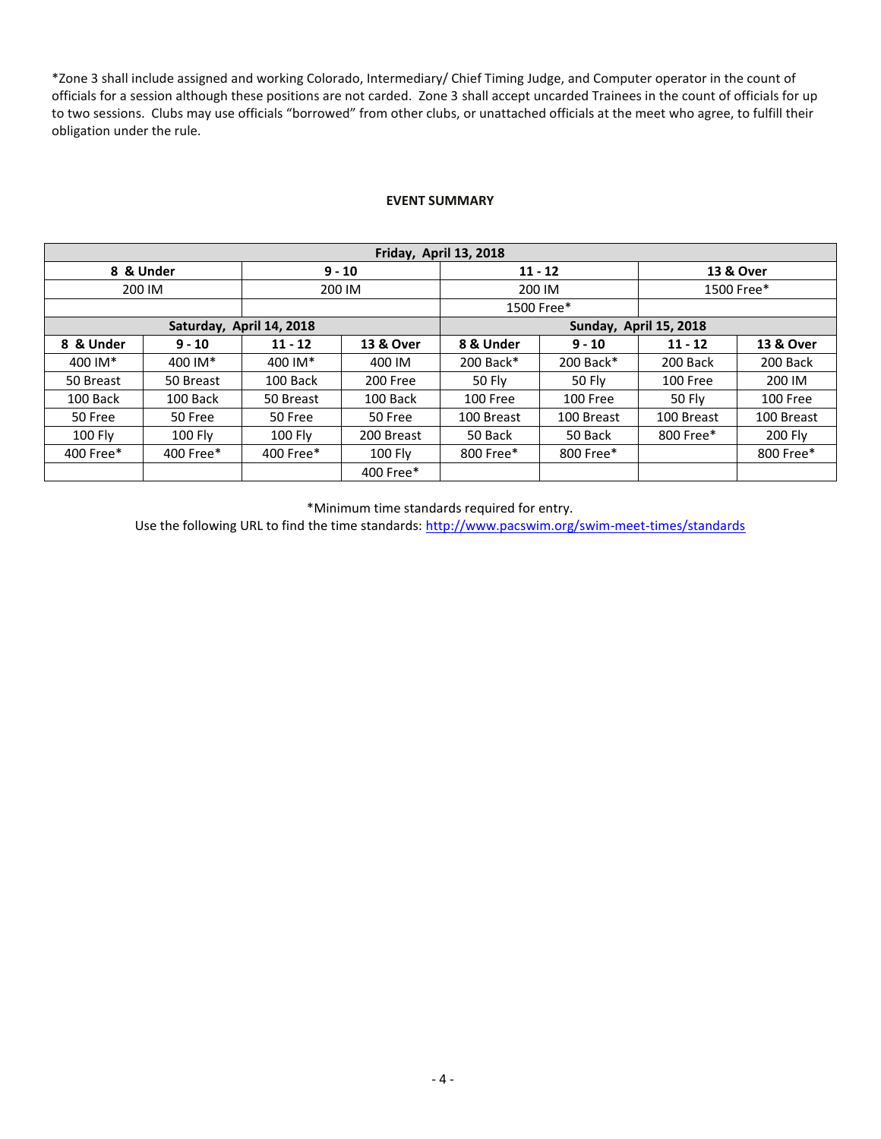\*Zone 3 shall include assigned and working Colorado, Intermediary/ Chief Timing Judge, and Computer operator in the count of officials for a session although these positions are not carded. Zone 3 shall accept uncarded Trainees in the count of officials for up to two sessions. Clubs may use officials "borrowed" from other clubs, or unattached officials at the meet who agree, to fulfill their obligation under the rule.

#### **EVENT SUMMARY**

| Friday, April 13, 2018   |                  |                |                |                        |               |                 |                |  |  |
|--------------------------|------------------|----------------|----------------|------------------------|---------------|-----------------|----------------|--|--|
| 8 & Under<br>$9 - 10$    |                  |                |                |                        | $11 - 12$     | 13 & Over       |                |  |  |
|                          | 200 IM<br>200 IM |                |                | 200 IM                 | 1500 Free*    |                 |                |  |  |
|                          |                  |                |                |                        | 1500 Free*    |                 |                |  |  |
| Saturday, April 14, 2018 |                  |                |                | Sunday, April 15, 2018 |               |                 |                |  |  |
| 8 & Under                | $9 - 10$         | $11 - 12$      | 13 & Over      | 8 & Under              | $9 - 10$      | $11 - 12$       | 13 & Over      |  |  |
| 400 IM*                  | 400 IM*          | 400 IM*        | 400 IM         | 200 Back*              | 200 Back*     | 200 Back        | 200 Back       |  |  |
| 50 Breast                | 50 Breast        | 100 Back       | 200 Free       | 50 Fly                 | <b>50 Fly</b> | <b>100 Free</b> | 200 IM         |  |  |
| 100 Back                 | 100 Back         | 50 Breast      | 100 Back       | 100 Free               | 100 Free      | 50 Fly          | 100 Free       |  |  |
| 50 Free                  | 50 Free          | 50 Free        | 50 Free        | 100 Breast             | 100 Breast    | 100 Breast      | 100 Breast     |  |  |
| <b>100 Flv</b>           | 100 Fly          | <b>100 Flv</b> | 200 Breast     | 50 Back                | 50 Back       | 800 Free*       | <b>200 Flv</b> |  |  |
| 400 Free*                | 400 Free*        | 400 Free*      | <b>100 Fly</b> | 800 Free*<br>800 Free* |               |                 | 800 Free*      |  |  |
|                          |                  |                | 400 Free*      |                        |               |                 |                |  |  |

\*Minimum time standards required for entry.

Use the following URL to find the time standards:<http://www.pacswim.org/swim-meet-times/standards>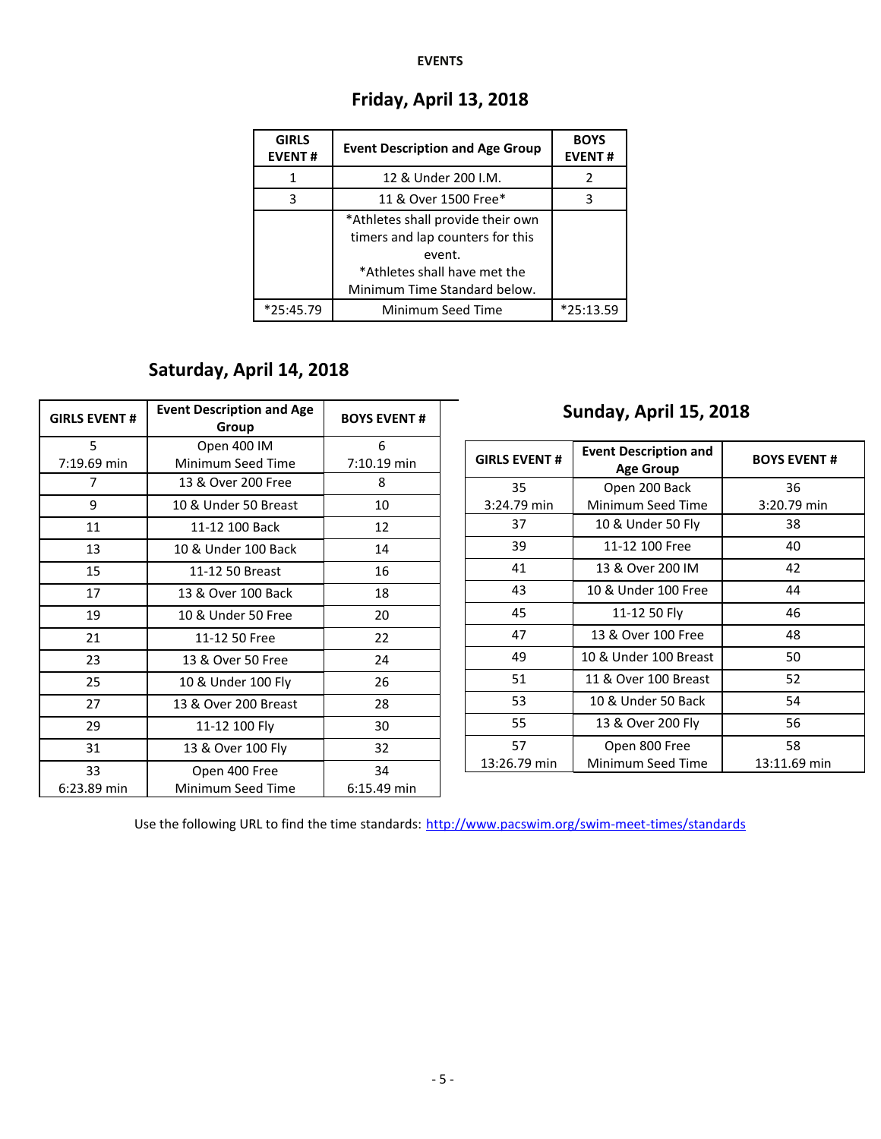#### **EVENTS**

| <b>GIRLS</b><br><b>EVENT#</b> | <b>Event Description and Age Group</b>                                                                                                          | <b>BOYS</b><br><b>EVENT#</b> |
|-------------------------------|-------------------------------------------------------------------------------------------------------------------------------------------------|------------------------------|
|                               | 12 & Under 200 I.M.                                                                                                                             | 2                            |
| 3                             | 11 & Over 1500 Free*                                                                                                                            | 3                            |
|                               | *Athletes shall provide their own<br>timers and lap counters for this<br>event.<br>*Athletes shall have met the<br>Minimum Time Standard below. |                              |
| $*25:45.79$                   | Minimum Seed Time                                                                                                                               | $*25:13.59$                  |

## **Friday, April 13, 2018**

# **Saturday, April 14, 2018**

| <b>GIRLS EVENT#</b> | <b>Event Description and Age</b><br>Group | <b>BOYS EVENT#</b> | Sunday, April 15, 2018 |                                                  |                    |  |  |  |
|---------------------|-------------------------------------------|--------------------|------------------------|--------------------------------------------------|--------------------|--|--|--|
| 5<br>7:19.69 min    | Open 400 IM<br>Minimum Seed Time          | 6<br>7:10.19 min   | <b>GIRLS EVENT#</b>    | <b>Event Description and</b><br><b>Age Group</b> | <b>BOYS EVENT#</b> |  |  |  |
| 7                   | 13 & Over 200 Free                        | 8                  | 35                     | Open 200 Back                                    | 36                 |  |  |  |
| 9                   | 10 & Under 50 Breast                      | 10                 | 3:24.79 min            | Minimum Seed Time                                | 3:20.79 min        |  |  |  |
| 11                  | 11-12 100 Back                            | 12                 | 37                     | 10 & Under 50 Fly                                | 38                 |  |  |  |
| 13                  | 10 & Under 100 Back                       | 14                 | 39                     | 11-12 100 Free                                   | 40                 |  |  |  |
| 15                  | 11-12 50 Breast                           | 16                 | 41                     | 13 & Over 200 IM                                 | 42                 |  |  |  |
| 17                  | 13 & Over 100 Back                        | 18                 | 43                     | 10 & Under 100 Free                              | 44                 |  |  |  |
| 19                  | 10 & Under 50 Free                        | 20                 | 45                     | 11-12 50 Fly                                     | 46                 |  |  |  |
| 21                  | 11-12 50 Free                             | 22                 | 47                     | 13 & Over 100 Free                               | 48                 |  |  |  |
| 23                  | 13 & Over 50 Free                         | 24                 | 49                     | 10 & Under 100 Breast                            | 50                 |  |  |  |
| 25                  | 10 & Under 100 Fly                        | 26                 | 51                     | 11 & Over 100 Breast                             | 52                 |  |  |  |
| 27                  | 13 & Over 200 Breast                      | 28                 | 53                     | 10 & Under 50 Back                               | 54                 |  |  |  |
| 29                  | 11-12 100 Fly                             | 30                 | 55                     | 13 & Over 200 Fly                                | 56                 |  |  |  |
| 31                  | 13 & Over 100 Fly                         | 32                 | 57                     | Open 800 Free                                    | 58                 |  |  |  |
| 33<br>6:23.89 min   | Open 400 Free<br>Minimum Seed Time        | 34<br>6:15.49 min  | 13:26.79 min           | Minimum Seed Time                                | 13:11.69 min       |  |  |  |

Use the following URL to find the time standards: <http://www.pacswim.org/swim-meet-times/standards>